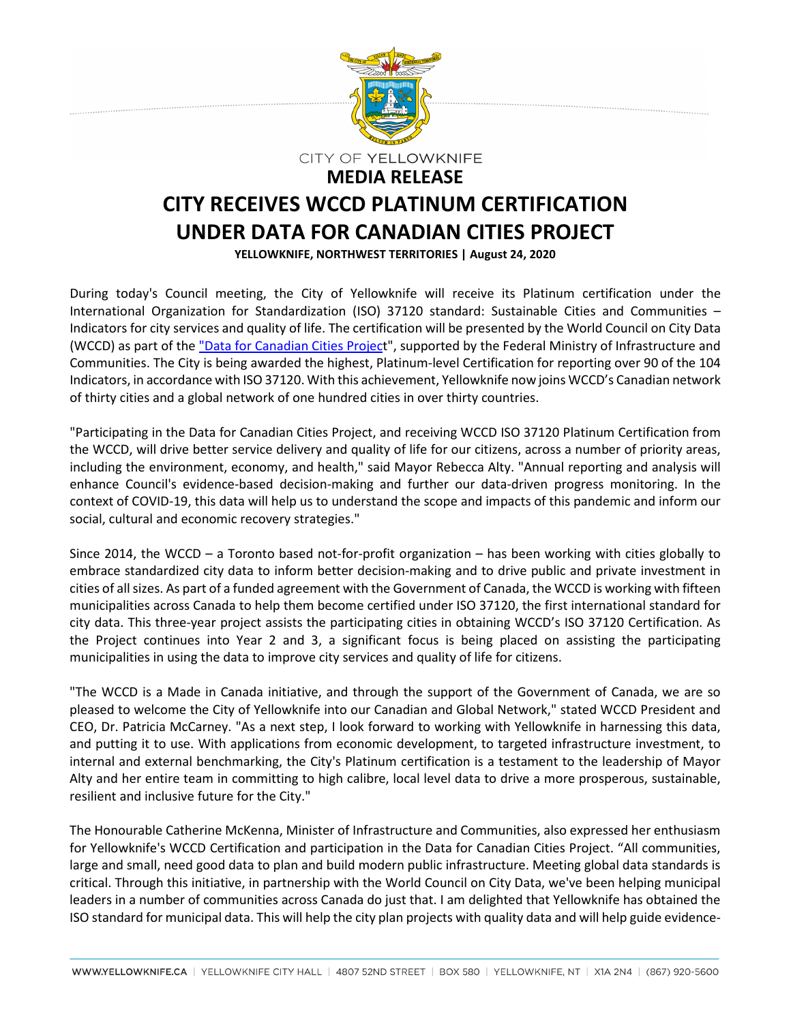

## **CITY RECEIVES WCCD PLATINUM CERTIFICATION UNDER DATA FOR CANADIAN CITIES PROJECT YELLOWKNIFE, NORTHWEST TERRITORIES | August 24, 2020**

During today's Council meeting, the City of Yellowknife will receive its Platinum certification under the International Organization for Standardization (ISO) 37120 standard: Sustainable Cities and Communities – Indicators for city services and quality of life. The certification will be presented by the World Council on City Data (WCCD) as part of the ["Data for Canadian Cities Project](http://news.dataforcities.org/2019/07/government-of-canada-and-wccd-launch.html)", supported by the Federal Ministry of Infrastructure and Communities. The City is being awarded the highest, Platinum-level Certification for reporting over 90 of the 104 Indicators, in accordance with ISO 37120. With this achievement, Yellowknife now joins WCCD's Canadian network of thirty cities and a global network of one hundred cities in over thirty countries.

"Participating in the Data for Canadian Cities Project, and receiving WCCD ISO 37120 Platinum Certification from the WCCD, will drive better service delivery and quality of life for our citizens, across a number of priority areas, including the environment, economy, and health," said Mayor Rebecca Alty. "Annual reporting and analysis will enhance Council's evidence-based decision-making and further our data-driven progress monitoring. In the context of COVID-19, this data will help us to understand the scope and impacts of this pandemic and inform our social, cultural and economic recovery strategies."

Since 2014, the WCCD – a Toronto based not-for-profit organization – has been working with cities globally to embrace standardized city data to inform better decision-making and to drive public and private investment in cities of all sizes. As part of a funded agreement with the Government of Canada, the WCCD is working with fifteen municipalities across Canada to help them become certified under ISO 37120, the first international standard for city data. This three-year project assists the participating cities in obtaining WCCD's ISO 37120 Certification. As the Project continues into Year 2 and 3, a significant focus is being placed on assisting the participating municipalities in using the data to improve city services and quality of life for citizens.

"The WCCD is a Made in Canada initiative, and through the support of the Government of Canada, we are so pleased to welcome the City of Yellowknife into our Canadian and Global Network," stated WCCD President and CEO, Dr. Patricia McCarney. "As a next step, I look forward to working with Yellowknife in harnessing this data, and putting it to use. With applications from economic development, to targeted infrastructure investment, to internal and external benchmarking, the City's Platinum certification is a testament to the leadership of Mayor Alty and her entire team in committing to high calibre, local level data to drive a more prosperous, sustainable, resilient and inclusive future for the City."

The Honourable Catherine McKenna, Minister of Infrastructure and Communities, also expressed her enthusiasm for Yellowknife's WCCD Certification and participation in the Data for Canadian Cities Project. "All communities, large and small, need good data to plan and build modern public infrastructure. Meeting global data standards is critical. Through this initiative, in partnership with the World Council on City Data, we've been helping municipal leaders in a number of communities across Canada do just that. I am delighted that Yellowknife has obtained the ISO standard for municipal data. This will help the city plan projects with quality data and will help guide evidence-